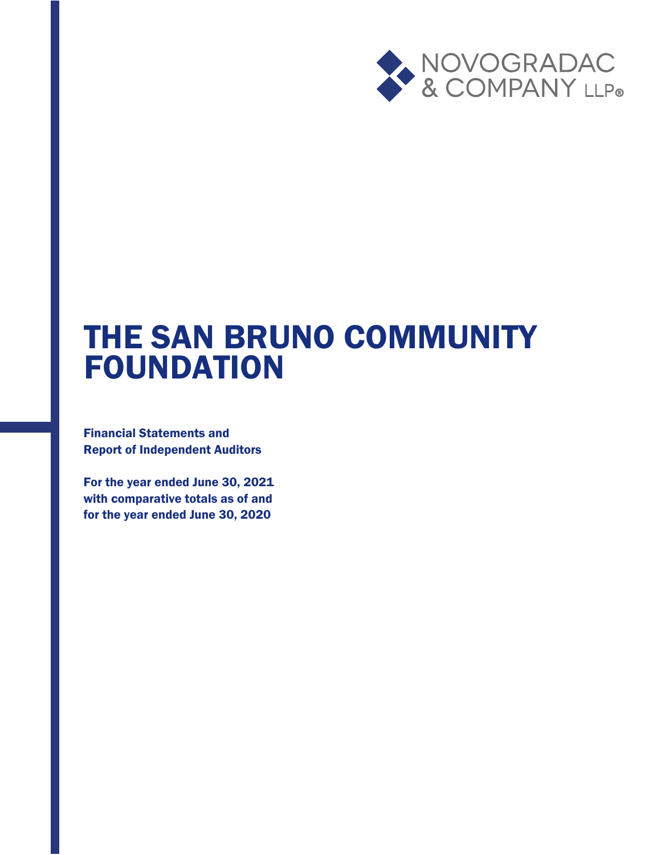

Financial Statements and Report of Independent Auditors

For the year ended June 30, 2021 with comparative totals as of and for the year ended June 30, 2020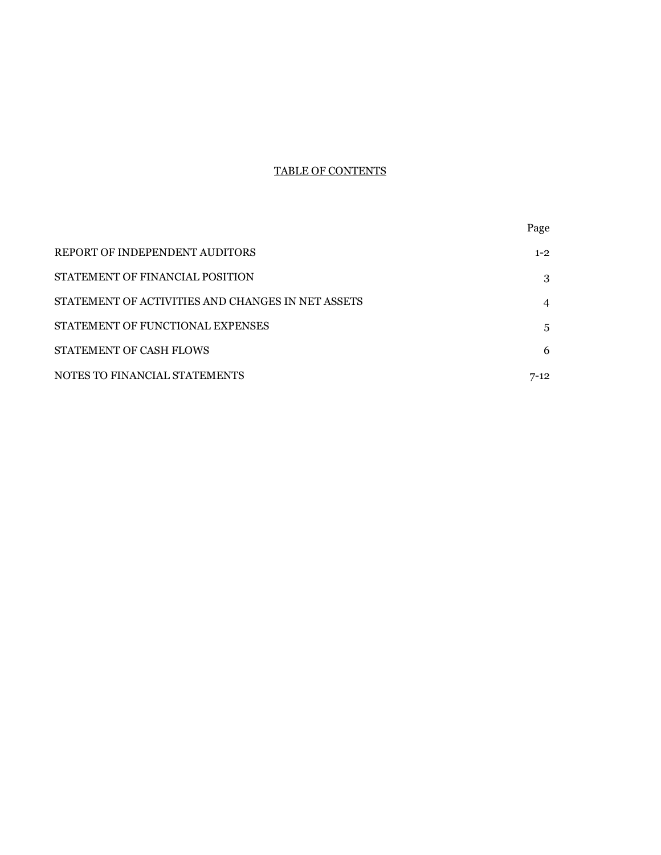# TABLE OF CONTENTS

|                                                   | Page    |
|---------------------------------------------------|---------|
| REPORT OF INDEPENDENT AUDITORS                    | $1 - 2$ |
| STATEMENT OF FINANCIAL POSITION                   | 3       |
| STATEMENT OF ACTIVITIES AND CHANGES IN NET ASSETS | 4       |
| STATEMENT OF FUNCTIONAL EXPENSES                  | 5       |
| STATEMENT OF CASH FLOWS                           | 6       |
| NOTES TO FINANCIAL STATEMENTS                     | 7-12    |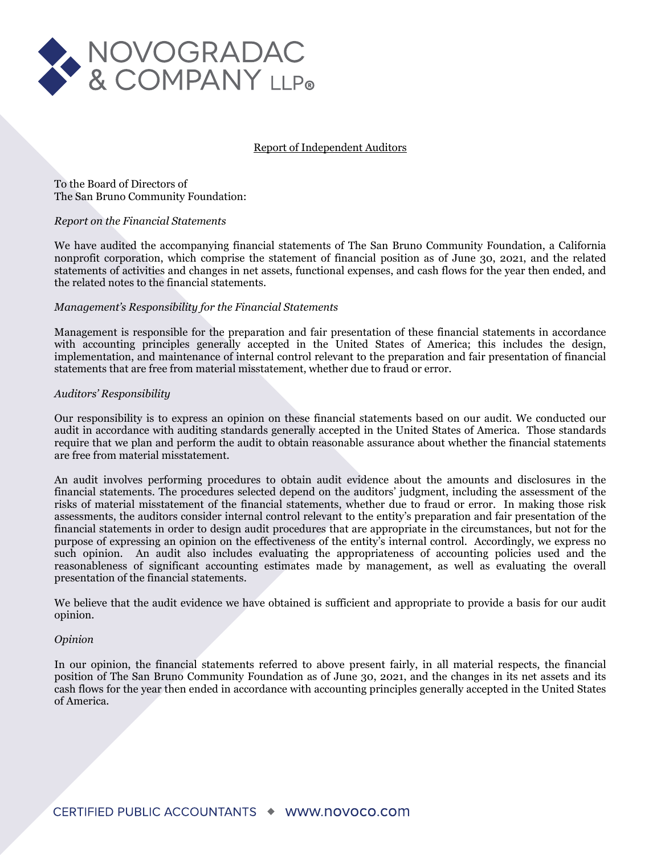

# Report of Independent Auditors

To the Board of Directors of The San Bruno Community Foundation:

# *Report on the Financial Statements*

We have audited the accompanying financial statements of The San Bruno Community Foundation, a California nonprofit corporation, which comprise the statement of financial position as of June 30, 2021, and the related statements of activities and changes in net assets, functional expenses, and cash flows for the year then ended, and the related notes to the financial statements.

# *Management's Responsibility for the Financial Statements*

Management is responsible for the preparation and fair presentation of these financial statements in accordance with accounting principles generally accepted in the United States of America; this includes the design, implementation, and maintenance of internal control relevant to the preparation and fair presentation of financial statements that are free from material misstatement, whether due to fraud or error.

#### *Auditors' Responsibility*

Our responsibility is to express an opinion on these financial statements based on our audit. We conducted our audit in accordance with auditing standards generally accepted in the United States of America. Those standards require that we plan and perform the audit to obtain reasonable assurance about whether the financial statements are free from material misstatement.

An audit involves performing procedures to obtain audit evidence about the amounts and disclosures in the financial statements. The procedures selected depend on the auditors' judgment, including the assessment of the risks of material misstatement of the financial statements, whether due to fraud or error. In making those risk assessments, the auditors consider internal control relevant to the entity's preparation and fair presentation of the financial statements in order to design audit procedures that are appropriate in the circumstances, but not for the purpose of expressing an opinion on the effectiveness of the entity's internal control. Accordingly, we express no such opinion. An audit also includes evaluating the appropriateness of accounting policies used and the reasonableness of significant accounting estimates made by management, as well as evaluating the overall presentation of the financial statements.

We believe that the audit evidence we have obtained is sufficient and appropriate to provide a basis for our audit opinion.

# *Opinion*

In our opinion, the financial statements referred to above present fairly, in all material respects, the financial position of The San Bruno Community Foundation as of June 30, 2021, and the changes in its net assets and its cash flows for the year then ended in accordance with accounting principles generally accepted in the United States of America.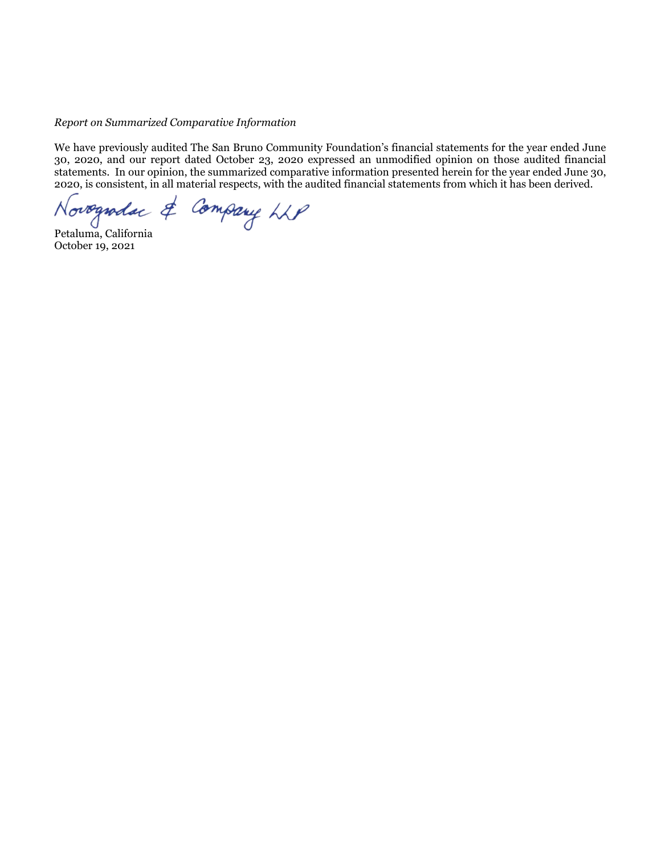*Report on Summarized Comparative Information* 

We have previously audited The San Bruno Community Foundation's financial statements for the year ended June 30, 2020, and our report dated October 23, 2020 expressed an unmodified opinion on those audited financial statements. In our opinion, the summarized comparative information presented herein for the year ended June 30, 2020, is consistent, in all material respects, with the audited financial statements from which it has been derived.

Novognodac & Company LLP

October 19, 2021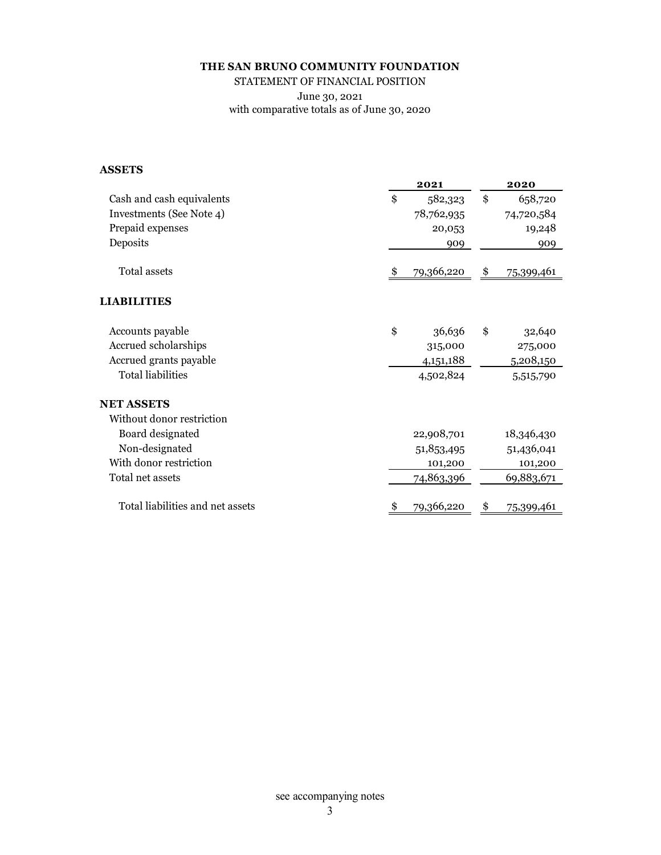# STATEMENT OF FINANCIAL POSITION

June 30, 2021 with comparative totals as of June 30, 2020

#### **ASSETS**

|                                  | 2021             | 2020             |
|----------------------------------|------------------|------------------|
| Cash and cash equivalents        | \$<br>582,323    | \$<br>658,720    |
| Investments (See Note 4)         | 78,762,935       | 74,720,584       |
| Prepaid expenses                 | 20,053           | 19,248           |
| Deposits                         | 909              | 909              |
| Total assets                     | \$<br>79,366,220 | \$<br>75,399,461 |
| LIABILITIES                      |                  |                  |
| Accounts payable                 | \$<br>36,636     | \$<br>32,640     |
| Accrued scholarships             | 315,000          | 275,000          |
| Accrued grants payable           | 4,151,188        | 5,208,150        |
| <b>Total liabilities</b>         | 4,502,824        | 5,515,790        |
| <b>NET ASSETS</b>                |                  |                  |
| Without donor restriction        |                  |                  |
| Board designated                 | 22,908,701       | 18,346,430       |
| Non-designated                   | 51,853,495       | 51,436,041       |
| With donor restriction           | 101,200          | 101,200          |
| Total net assets                 | 74,863,396       | 69,883,671       |
| Total liabilities and net assets | 79,366,220       | \$<br>75,399,461 |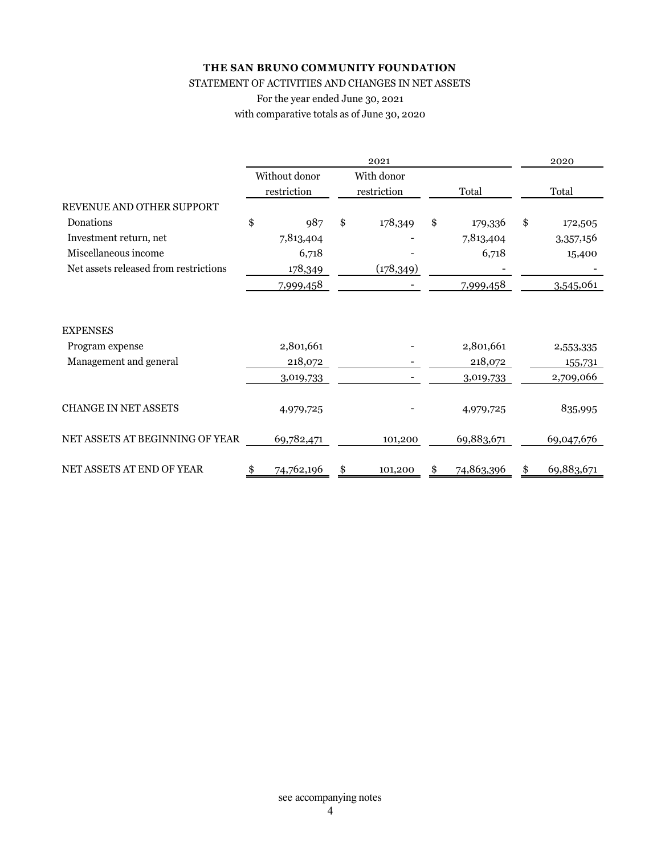# STATEMENT OF ACTIVITIES AND CHANGES IN NET ASSETS

For the year ended June 30, 2021

with comparative totals as of June 30, 2020

|                                       | 2021 |                              |    |                           |    |            | 2020 |            |
|---------------------------------------|------|------------------------------|----|---------------------------|----|------------|------|------------|
|                                       |      | Without donor<br>restriction |    | With donor<br>restriction |    | Total      |      | Total      |
| REVENUE AND OTHER SUPPORT             |      |                              |    |                           |    |            |      |            |
| Donations                             | \$   | 987                          | \$ | 178,349                   | \$ | 179,336    | \$   | 172,505    |
| Investment return, net                |      | 7,813,404                    |    |                           |    | 7,813,404  |      | 3,357,156  |
| Miscellaneous income                  |      | 6,718                        |    |                           |    | 6,718      |      | 15,400     |
| Net assets released from restrictions |      | 178,349                      |    | (178, 349)                |    |            |      |            |
|                                       |      | 7,999,458                    |    |                           |    | 7,999,458  |      | 3,545,061  |
| <b>EXPENSES</b>                       |      |                              |    |                           |    |            |      |            |
| Program expense                       |      | 2,801,661                    |    |                           |    | 2,801,661  |      | 2,553,335  |
| Management and general                |      | 218,072                      |    |                           |    | 218,072    |      | 155,731    |
|                                       |      | 3,019,733                    |    |                           |    | 3,019,733  |      | 2,709,066  |
| <b>CHANGE IN NET ASSETS</b>           |      | 4,979,725                    |    |                           |    | 4,979,725  |      | 835,995    |
| NET ASSETS AT BEGINNING OF YEAR       |      | 69,782,471                   |    | 101,200                   |    | 69,883,671 |      | 69,047,676 |
| NET ASSETS AT END OF YEAR             |      | 74,762,196                   | S  | 101,200                   |    | 74,863,396 | S    | 69,883,671 |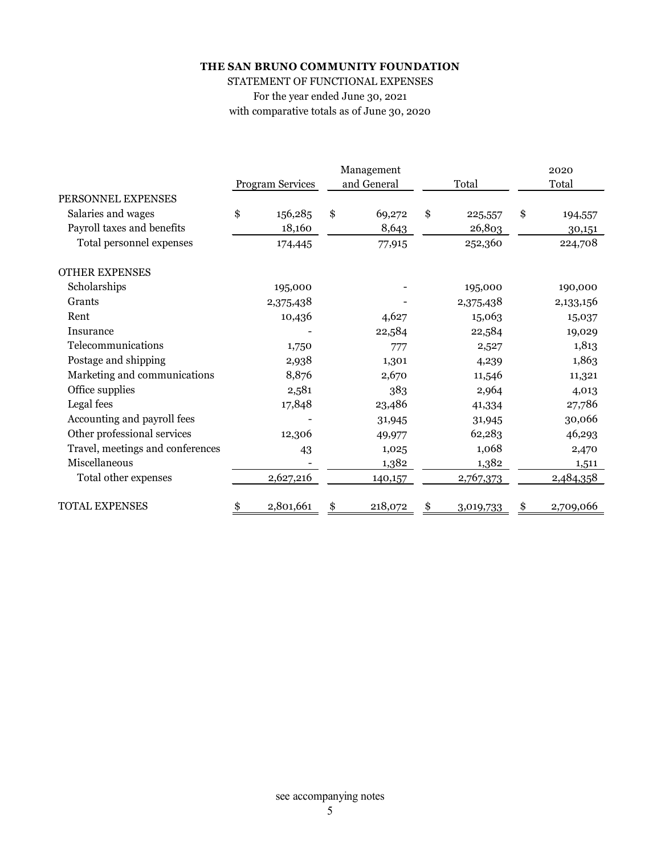# STATEMENT OF FUNCTIONAL EXPENSES

with comparative totals as of June 30, 2020 For the year ended June 30, 2021

|                                  |                  | Management    |                 | 2020            |
|----------------------------------|------------------|---------------|-----------------|-----------------|
|                                  | Program Services | and General   | Total           | Total           |
| PERSONNEL EXPENSES               |                  |               |                 |                 |
| Salaries and wages               | \$<br>156,285    | \$<br>69,272  | \$<br>225,557   | \$<br>194,557   |
| Payroll taxes and benefits       | 18,160           | 8,643         | 26,803          | 30,151          |
| Total personnel expenses         | 174,445          | 77,915        | 252,360         | 224,708         |
| <b>OTHER EXPENSES</b>            |                  |               |                 |                 |
| Scholarships                     | 195,000          |               | 195,000         | 190,000         |
| Grants                           | 2,375,438        |               | 2,375,438       | 2,133,156       |
| Rent                             | 10,436           | 4,627         | 15,063          | 15,037          |
| Insurance                        |                  | 22,584        | 22,584          | 19,029          |
| Telecommunications               | 1,750            | 777           | 2,527           | 1,813           |
| Postage and shipping             | 2,938            | 1,301         | 4,239           | 1,863           |
| Marketing and communications     | 8,876            | 2,670         | 11,546          | 11,321          |
| Office supplies                  | 2,581            | 383           | 2,964           | 4,013           |
| Legal fees                       | 17,848           | 23,486        | 41,334          | 27,786          |
| Accounting and payroll fees      |                  | 31,945        | 31,945          | 30,066          |
| Other professional services      | 12,306           | 49,977        | 62,283          | 46,293          |
| Travel, meetings and conferences | 43               | 1,025         | 1,068           | 2,470           |
| Miscellaneous                    |                  | 1,382         | 1,382           | 1,511           |
| Total other expenses             | 2,627,216        | 140,157       | 2,767,373       | 2,484,358       |
| <b>TOTAL EXPENSES</b>            | \$<br>2,801,661  | \$<br>218,072 | \$<br>3,019,733 | \$<br>2,709,066 |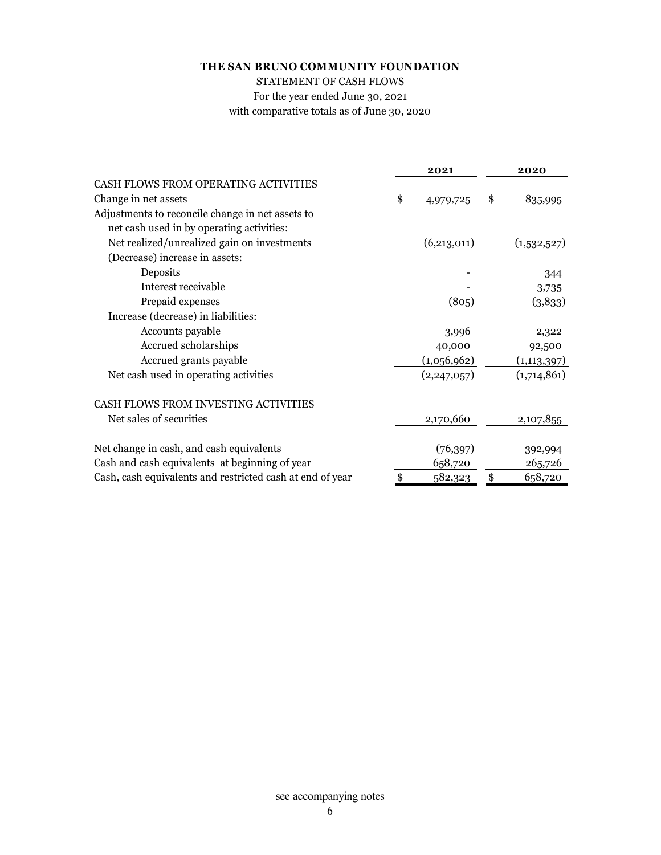STATEMENT OF CASH FLOWS

For the year ended June 30, 2021

with comparative totals as of June 30, 2020

|                                                           | 2021            | 2020          |
|-----------------------------------------------------------|-----------------|---------------|
| CASH FLOWS FROM OPERATING ACTIVITIES                      |                 |               |
| Change in net assets                                      | \$<br>4,979,725 | \$<br>835,995 |
| Adjustments to reconcile change in net assets to          |                 |               |
| net cash used in by operating activities:                 |                 |               |
| Net realized/unrealized gain on investments               | (6,213,011)     | (1,532,527)   |
| (Decrease) increase in assets:                            |                 |               |
| Deposits                                                  |                 | 344           |
| Interest receivable                                       |                 | 3,735         |
| Prepaid expenses                                          | (805)           | (3,833)       |
| Increase (decrease) in liabilities:                       |                 |               |
| Accounts payable                                          | 3,996           | 2,322         |
| Accrued scholarships                                      | 40,000          | 92,500        |
| Accrued grants payable                                    | (1,056,962)     | (1, 113, 397) |
| Net cash used in operating activities                     | (2, 247, 057)   | (1,714,861)   |
| CASH FLOWS FROM INVESTING ACTIVITIES                      |                 |               |
| Net sales of securities                                   | 2,170,660       | 2,107,855     |
| Net change in cash, and cash equivalents                  | (76, 397)       | 392,994       |
| Cash and cash equivalents at beginning of year            | 658,720         | 265,726       |
| Cash, cash equivalents and restricted cash at end of year | 582,323         | \$<br>658,720 |
|                                                           |                 |               |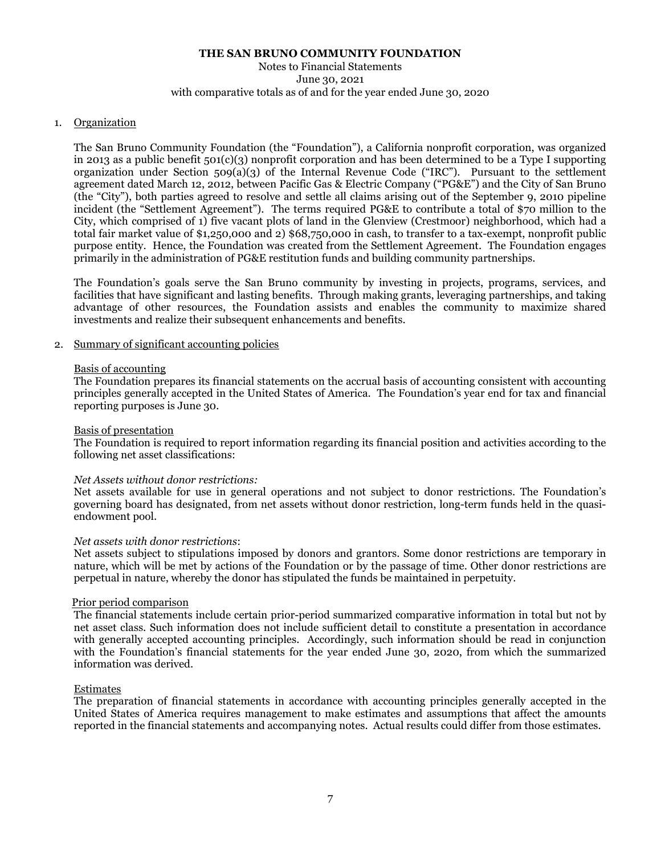# Notes to Financial Statements June 30, 2021 with comparative totals as of and for the year ended June 30, 2020

## 1. Organization

The San Bruno Community Foundation (the "Foundation"), a California nonprofit corporation, was organized in 2013 as a public benefit 501(c)(3) nonprofit corporation and has been determined to be a Type I supporting organization under Section 509(a)(3) of the Internal Revenue Code ("IRC"). Pursuant to the settlement agreement dated March 12, 2012, between Pacific Gas & Electric Company ("PG&E") and the City of San Bruno (the "City"), both parties agreed to resolve and settle all claims arising out of the September 9, 2010 pipeline incident (the "Settlement Agreement"). The terms required PG&E to contribute a total of \$70 million to the City, which comprised of 1) five vacant plots of land in the Glenview (Crestmoor) neighborhood, which had a total fair market value of \$1,250,000 and 2) \$68,750,000 in cash, to transfer to a tax-exempt, nonprofit public purpose entity. Hence, the Foundation was created from the Settlement Agreement. The Foundation engages primarily in the administration of PG&E restitution funds and building community partnerships.

The Foundation's goals serve the San Bruno community by investing in projects, programs, services, and facilities that have significant and lasting benefits. Through making grants, leveraging partnerships, and taking advantage of other resources, the Foundation assists and enables the community to maximize shared investments and realize their subsequent enhancements and benefits.

# 2. Summary of significant accounting policies

#### Basis of accounting

The Foundation prepares its financial statements on the accrual basis of accounting consistent with accounting principles generally accepted in the United States of America. The Foundation's year end for tax and financial reporting purposes is June 30.

#### Basis of presentation

The Foundation is required to report information regarding its financial position and activities according to the following net asset classifications:

#### *Net Assets without donor restrictions:*

Net assets available for use in general operations and not subject to donor restrictions. The Foundation's governing board has designated, from net assets without donor restriction, long-term funds held in the quasiendowment pool.

#### *Net assets with donor restrictions*:

Net assets subject to stipulations imposed by donors and grantors. Some donor restrictions are temporary in nature, which will be met by actions of the Foundation or by the passage of time. Other donor restrictions are perpetual in nature, whereby the donor has stipulated the funds be maintained in perpetuity.

#### Prior period comparison

 The financial statements include certain prior-period summarized comparative information in total but not by net asset class. Such information does not include sufficient detail to constitute a presentation in accordance with generally accepted accounting principles. Accordingly, such information should be read in conjunction with the Foundation's financial statements for the year ended June 30, 2020, from which the summarized information was derived.

#### Estimates

The preparation of financial statements in accordance with accounting principles generally accepted in the United States of America requires management to make estimates and assumptions that affect the amounts reported in the financial statements and accompanying notes. Actual results could differ from those estimates.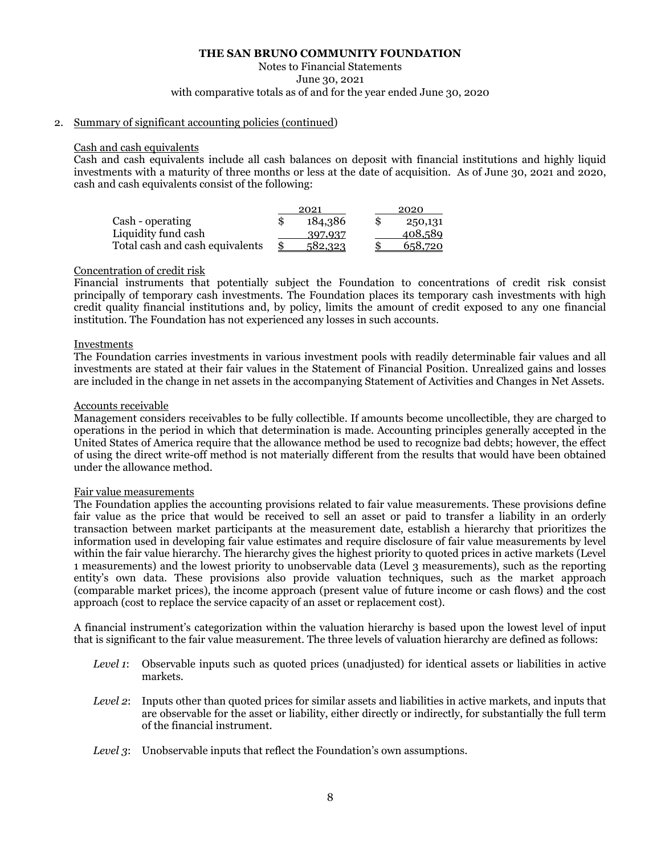# Notes to Financial Statements June 30, 2021 with comparative totals as of and for the year ended June 30, 2020

#### 2. Summary of significant accounting policies (continued)

#### Cash and cash equivalents

Cash and cash equivalents include all cash balances on deposit with financial institutions and highly liquid investments with a maturity of three months or less at the date of acquisition. As of June 30, 2021 and 2020, cash and cash equivalents consist of the following:

|                                 | 2021    | 2020    |
|---------------------------------|---------|---------|
| Cash - operating                | 184.386 | 250,131 |
| Liquidity fund cash             | 397.937 | 408,589 |
| Total cash and cash equivalents | 582,323 | 658,720 |

#### Concentration of credit risk

Financial instruments that potentially subject the Foundation to concentrations of credit risk consist principally of temporary cash investments. The Foundation places its temporary cash investments with high credit quality financial institutions and, by policy, limits the amount of credit exposed to any one financial institution. The Foundation has not experienced any losses in such accounts.

#### Investments

The Foundation carries investments in various investment pools with readily determinable fair values and all investments are stated at their fair values in the Statement of Financial Position. Unrealized gains and losses are included in the change in net assets in the accompanying Statement of Activities and Changes in Net Assets.

#### Accounts receivable

Management considers receivables to be fully collectible. If amounts become uncollectible, they are charged to operations in the period in which that determination is made. Accounting principles generally accepted in the United States of America require that the allowance method be used to recognize bad debts; however, the effect of using the direct write-off method is not materially different from the results that would have been obtained under the allowance method.

#### Fair value measurements

The Foundation applies the accounting provisions related to fair value measurements. These provisions define fair value as the price that would be received to sell an asset or paid to transfer a liability in an orderly transaction between market participants at the measurement date, establish a hierarchy that prioritizes the information used in developing fair value estimates and require disclosure of fair value measurements by level within the fair value hierarchy. The hierarchy gives the highest priority to quoted prices in active markets (Level 1 measurements) and the lowest priority to unobservable data (Level 3 measurements), such as the reporting entity's own data. These provisions also provide valuation techniques, such as the market approach (comparable market prices), the income approach (present value of future income or cash flows) and the cost approach (cost to replace the service capacity of an asset or replacement cost).

A financial instrument's categorization within the valuation hierarchy is based upon the lowest level of input that is significant to the fair value measurement. The three levels of valuation hierarchy are defined as follows:

- *Level 1*: Observable inputs such as quoted prices (unadjusted) for identical assets or liabilities in active markets.
- *Level 2*: Inputs other than quoted prices for similar assets and liabilities in active markets, and inputs that are observable for the asset or liability, either directly or indirectly, for substantially the full term of the financial instrument.
- *Level 3*: Unobservable inputs that reflect the Foundation's own assumptions.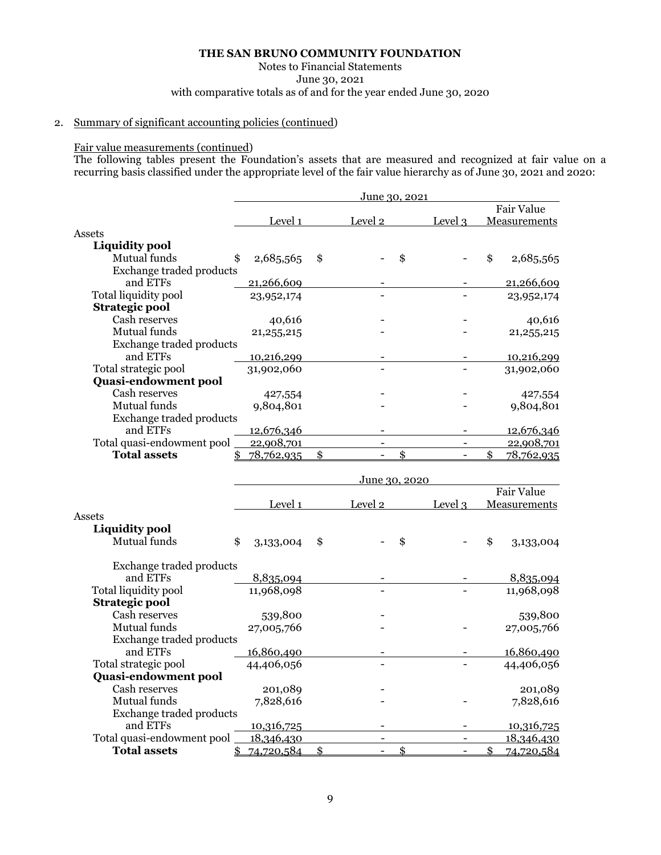# Notes to Financial Statements June 30, 2021 with comparative totals as of and for the year ended June 30, 2020

# 2. Summary of significant accounting policies (continued)

# Fair value measurements (continued)

The following tables present the Foundation's assets that are measured and recognized at fair value on a recurring basis classified under the appropriate level of the fair value hierarchy as of June 30, 2021 and 2020:

|                            |                   | <u>June 30, 2021</u> |         |                     |
|----------------------------|-------------------|----------------------|---------|---------------------|
|                            |                   |                      |         | Fair Value          |
|                            | Level 1           | Level 2              | Level 3 | <b>Measurements</b> |
| Assets                     |                   |                      |         |                     |
| <b>Liquidity pool</b>      |                   |                      |         |                     |
| Mutual funds<br>\$         | 2,685,565         | \$                   | \$      | \$<br>2,685,565     |
| Exchange traded products   |                   |                      |         |                     |
| and ETFs                   | 21,266,609        |                      |         | 21,266,609          |
| Total liquidity pool       | 23,952,174        |                      |         | 23,952,174          |
| Strategic pool             |                   |                      |         |                     |
| Cash reserves              | 40,616            |                      |         | 40,616              |
| Mutual funds               | 21, 255, 215      |                      |         | 21, 255, 215        |
| Exchange traded products   |                   |                      |         |                     |
| and ETFs                   | 10,216,299        |                      |         | 10,216,299          |
| Total strategic pool       | 31,902,060        |                      |         | 31,902,060          |
| Quasi-endowment pool       |                   |                      |         |                     |
| Cash reserves              | 427,554           |                      |         | 427,554             |
| Mutual funds               | 9,804,801         |                      |         | 9,804,801           |
| Exchange traded products   |                   |                      |         |                     |
| and ETFs                   | <u>12,676,346</u> |                      |         | 12,676,346          |
| Total quasi-endowment pool | 22,908,701        |                      |         | 22,908,701          |
| <b>Total assets</b>        | 78,762,935        |                      |         | 78,762,935          |

|                                 |                 | June 30, 2020 |         |                   |
|---------------------------------|-----------------|---------------|---------|-------------------|
|                                 |                 |               |         | Fair Value        |
|                                 | Level 1         | Level 2       | Level 3 | Measurements      |
| Assets                          |                 |               |         |                   |
| <b>Liquidity pool</b>           |                 |               |         |                   |
| Mutual funds                    | \$<br>3,133,004 | \$            | \$      | \$<br>3,133,004   |
| Exchange traded products        |                 |               |         |                   |
| and ETFs                        | 8,835,094       |               |         | 8,835,094         |
| Total liquidity pool            | 11,968,098      |               |         | 11,968,098        |
| Strategic pool                  |                 |               |         |                   |
| Cash reserves                   | 539,800         |               |         | 539,800           |
| Mutual funds                    | 27,005,766      |               |         | 27,005,766        |
| Exchange traded products        |                 |               |         |                   |
| and ETFs                        | 16,860,490      |               |         | 16,860,490        |
| Total strategic pool            | 44,406,056      |               |         | 44,406,056        |
| <b>Quasi-endowment pool</b>     |                 |               |         |                   |
| Cash reserves                   | 201,089         |               |         | 201,089           |
| Mutual funds                    | 7,828,616       |               |         | 7,828,616         |
| <b>Exchange traded products</b> |                 |               |         |                   |
| and ETFs                        | 10,316,725      |               |         | 10,316,725        |
| Total quasi-endowment pool      | 18,346,430      |               |         | 18,346,430        |
| <b>Total assets</b>             | 74,720,584      | \$            | \$      | <u>74,720,584</u> |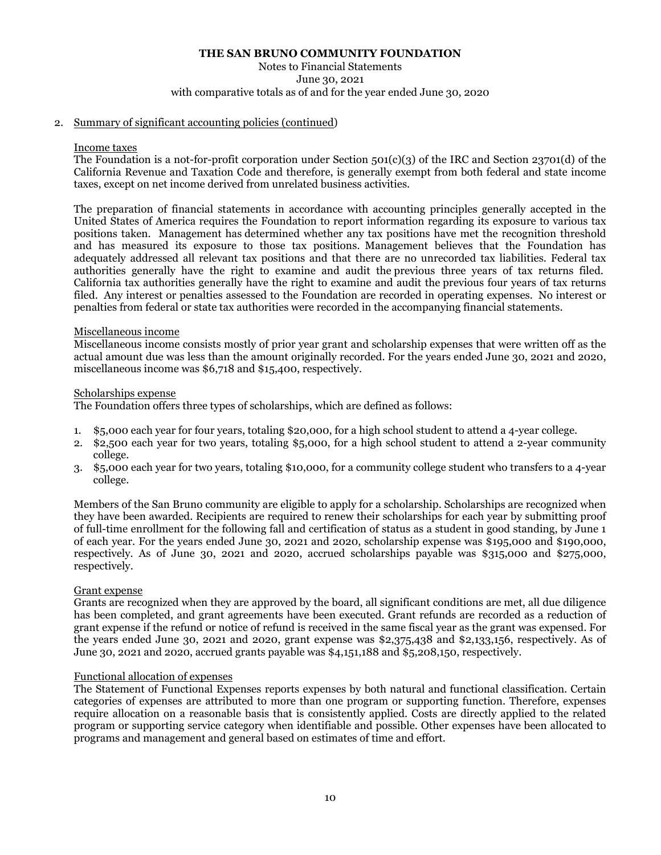# Notes to Financial Statements June 30, 2021 with comparative totals as of and for the year ended June 30, 2020

#### 2. Summary of significant accounting policies (continued)

#### Income taxes

 The Foundation is a not-for-profit corporation under Section 501(c)(3) of the IRC and Section 23701(d) of the California Revenue and Taxation Code and therefore, is generally exempt from both federal and state income taxes, except on net income derived from unrelated business activities.

The preparation of financial statements in accordance with accounting principles generally accepted in the United States of America requires the Foundation to report information regarding its exposure to various tax positions taken. Management has determined whether any tax positions have met the recognition threshold and has measured its exposure to those tax positions. Management believes that the Foundation has adequately addressed all relevant tax positions and that there are no unrecorded tax liabilities. Federal tax authorities generally have the right to examine and audit the previous three years of tax returns filed. California tax authorities generally have the right to examine and audit the previous four years of tax returns filed. Any interest or penalties assessed to the Foundation are recorded in operating expenses. No interest or penalties from federal or state tax authorities were recorded in the accompanying financial statements.

#### Miscellaneous income

Miscellaneous income consists mostly of prior year grant and scholarship expenses that were written off as the actual amount due was less than the amount originally recorded. For the years ended June 30, 2021 and 2020, miscellaneous income was \$6,718 and \$15,400, respectively.

# Scholarships expense

The Foundation offers three types of scholarships, which are defined as follows:

- 1. \$5,000 each year for four years, totaling \$20,000, for a high school student to attend a 4-year college.
- 2. \$2,500 each year for two years, totaling \$5,000, for a high school student to attend a 2-year community college.
- 3. \$5,000 each year for two years, totaling \$10,000, for a community college student who transfers to a 4-year college.

Members of the San Bruno community are eligible to apply for a scholarship. Scholarships are recognized when they have been awarded. Recipients are required to renew their scholarships for each year by submitting proof of full-time enrollment for the following fall and certification of status as a student in good standing, by June 1 of each year. For the years ended June 30, 2021 and 2020, scholarship expense was \$195,000 and \$190,000, respectively. As of June 30, 2021 and 2020, accrued scholarships payable was \$315,000 and \$275,000, respectively.

# Grant expense

Grants are recognized when they are approved by the board, all significant conditions are met, all due diligence has been completed, and grant agreements have been executed. Grant refunds are recorded as a reduction of grant expense if the refund or notice of refund is received in the same fiscal year as the grant was expensed. For the years ended June 30, 2021 and 2020, grant expense was \$2,375,438 and \$2,133,156, respectively. As of June 30, 2021 and 2020, accrued grants payable was \$4,151,188 and \$5,208,150, respectively.

# Functional allocation of expenses

The Statement of Functional Expenses reports expenses by both natural and functional classification. Certain categories of expenses are attributed to more than one program or supporting function. Therefore, expenses require allocation on a reasonable basis that is consistently applied. Costs are directly applied to the related program or supporting service category when identifiable and possible. Other expenses have been allocated to programs and management and general based on estimates of time and effort.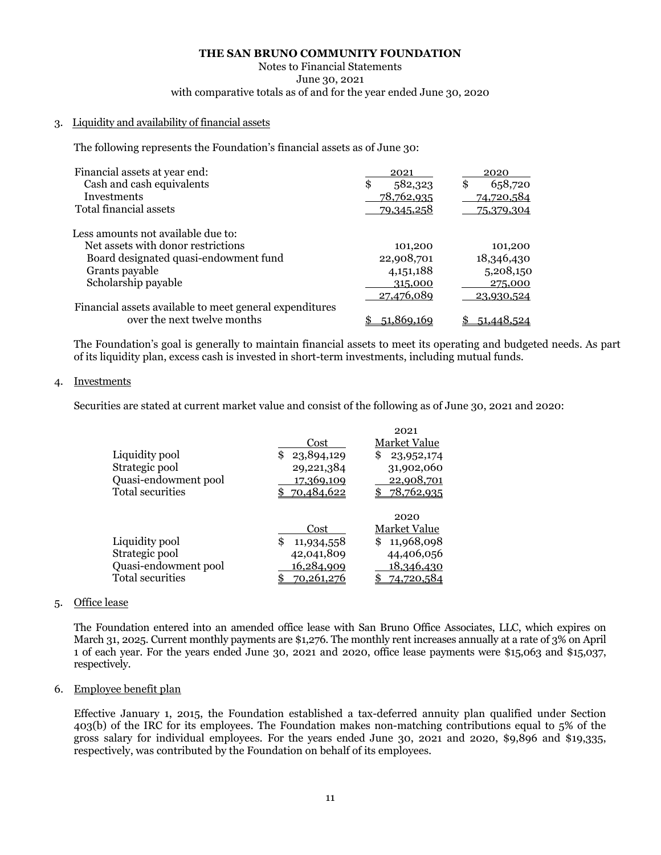#### Notes to Financial Statements June 30, 2021 with comparative totals as of and for the year ended June 30, 2020

## 3. Liquidity and availability of financial assets

The following represents the Foundation's financial assets as of June 30:

| Financial assets at year end:<br>Cash and cash equivalents | 2021<br>582,323<br>\$ | 2020<br>658,720<br>\$ |
|------------------------------------------------------------|-----------------------|-----------------------|
| <b>Investments</b>                                         | 78,762,935            | 74,720,584            |
| Total financial assets                                     | <u>79,345,258</u>     | 75,379,304            |
| Less amounts not available due to:                         |                       |                       |
| Net assets with donor restrictions                         | 101,200               | 101,200               |
| Board designated quasi-endowment fund                      | 22,908,701            | 18,346,430            |
| Grants payable                                             | 4, 151, 188           | 5,208,150             |
| Scholarship payable                                        | 315,000               | 275,000               |
|                                                            | 27,476,089            | 23,930,524            |
| Financial assets available to meet general expenditures    |                       |                       |
| over the next twelve months                                |                       |                       |

The Foundation's goal is generally to maintain financial assets to meet its operating and budgeted needs. As part of its liquidity plan, excess cash is invested in short-term investments, including mutual funds.

#### 4. Investments

Securities are stated at current market value and consist of the following as of June 30, 2021 and 2020:

| Liquidity pool<br>Strategic pool<br>Quasi-endowment pool<br><b>Total securities</b> | Cost<br>23,894,129<br>29,221,384<br>17,369,109<br>\$70.484.622   | 2021<br>Market Value<br>\$<br>23,952,174<br>31,902,060<br><u>22,908,701</u><br>78,762,935 |
|-------------------------------------------------------------------------------------|------------------------------------------------------------------|-------------------------------------------------------------------------------------------|
| Liquidity pool<br>Strategic pool<br>Quasi-endowment pool<br>Total securities        | Cost<br>11,934,558<br>\$<br>42,041,809<br>16,284,909<br>70,261.2 | 2020<br>Market Value<br>11,968,098<br>\$<br>44,406,056<br><u>18,346,430</u><br>74.720.584 |

# 5. Office lease

The Foundation entered into an amended office lease with San Bruno Office Associates, LLC, which expires on March 31, 2025. Current monthly payments are \$1,276. The monthly rent increases annually at a rate of 3% on April 1 of each year. For the years ended June 30, 2021 and 2020, office lease payments were \$15,063 and \$15,037, respectively.

# 6. Employee benefit plan

 Effective January 1, 2015, the Foundation established a tax-deferred annuity plan qualified under Section 403(b) of the IRC for its employees. The Foundation makes non-matching contributions equal to 5% of the gross salary for individual employees. For the years ended June 30, 2021 and 2020, \$9,896 and \$19,335, respectively, was contributed by the Foundation on behalf of its employees.